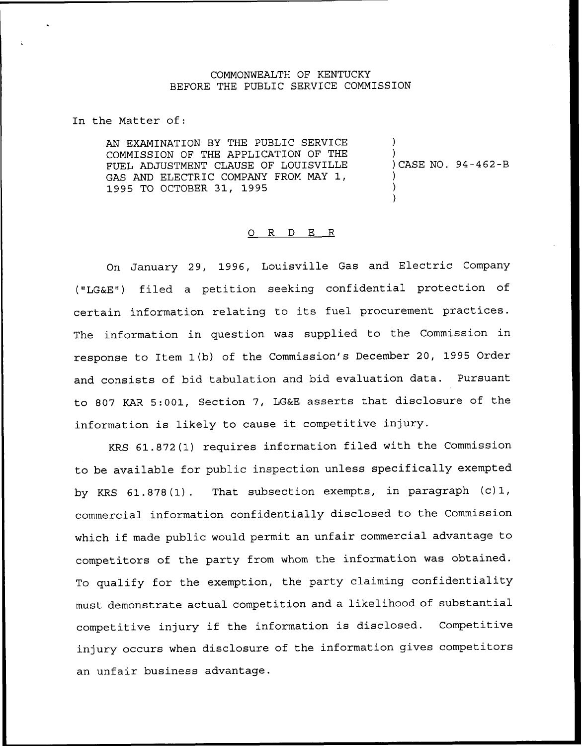## COMMONWEALTH OF KENTUCKY BEFORE THE PUBLIC SERVICE COMMISSION

In the Matter of:

AN EXAMINATION BY THE PUBLIC SERVICE COMMISSION OF THE APPLICATION OF THE FUEL ADJUSTMENT CLAUSE OF LOUISVILLE GAS AND ELECTRIC COMPANY FROM MAY 1, 1995 TO OCTOBER 31, 1995

) ) ) CASE NO. 94-462-B ) )

)

## 0 R <sup>D</sup> E R

On January 29, 1996, Louisville Gas and Electric Company ("LG&E") filed a petition seeking confidential protection of certain information relating to its fuel procurement practices. The information in question was supplied to the Commission in response to Item 1(b) of the Commission's December 20, 1995 Order and consists of bid tabulation and bid evaluation data. Pursuant to 807 KAR 5:001, Section 7, LG&E asserts that disclosure of the information is likely to cause it competitive injury.

KRS 61.872(1) requires information filed with the Commission to be available for public inspection unless specifically exempted by KRS 61.878(1). That subsection exempts, in paragraph (c)1, commercial information confidentially disclosed to the Commission which if made public would permit an unfair commercial advantage to competitors of the party from whom the information was obtained. To qualify for the exemption, the party claiming confidentiality must demonstrate actual competition and a likelihood of substantial competitive injury if the information is disclosed. Competitive injury occurs when disclosure of the information gives competitors an unfair business advantage.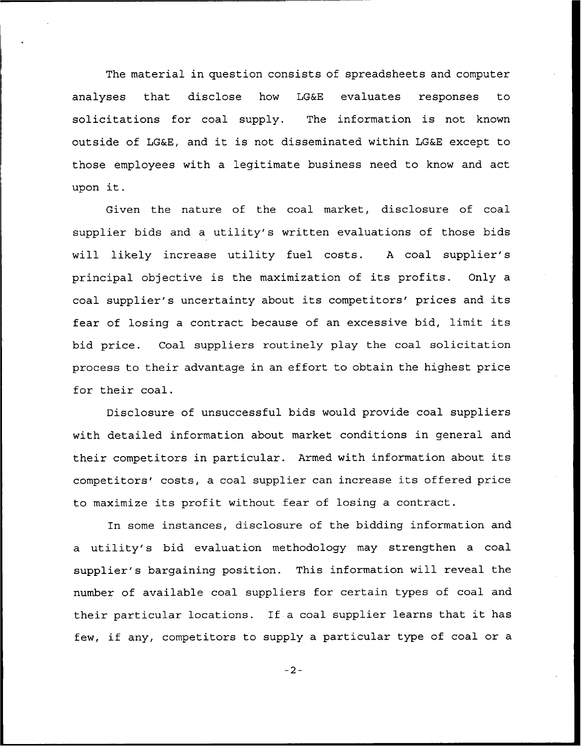The material in question consists of spreadsheets and computer analyses that disclose how LG&E evaluates responses to solicitations for coal supply. The information is not known outside of LG&E, and it is not disseminated within LG&E except to those employees with a legitimate business need to know and act upon it.

Given the nature of the coal market, disclosure of coal supplier bids and a utility's written evaluations of those bids will likely increase utility fuel costs. <sup>A</sup> coal supplier's principal objective is the maximization of its profits. Only a coal supplier's uncertainty about its competitors' prices and its fear of losing <sup>a</sup> contract because of an excessive bid, limit its bid price. Coal suppliers routinely play the coal solicitation process to their advantage in an effort to obtain the highest price for their coal.

Disclosure of unsuccessful bids would provide coal suppliers with detailed information about market conditions in general and their competitors in particular. Armed with information about its competitors' costs, a coal supplier can increase its offered price to maximize its profit without fear of losing <sup>a</sup> contract.

In some instances, disclosure of the bidding information and a utility's bid evaluation methodology may strengthen a coal supplier's bargaining position. This information will reveal the number of available coal suppliers for certain types of coal and their particular locations. If <sup>a</sup> coal supplier learns that it has few, if any, competitors to supply <sup>a</sup> particular type of coal or <sup>a</sup>

 $-2-$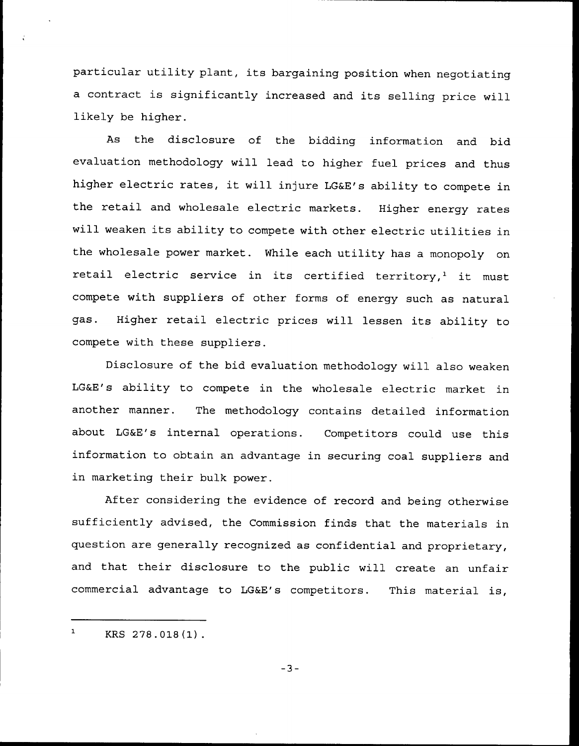particular utility plant, its bargaining position when negotiating <sup>a</sup> contract is significantly increased and its selling price will likely be higher.

As the disclosure of the bidding information and bid evaluation methodology will lead to higher fuel prices and thus higher electric rates, it will injure LG&E's ability to compete in the retail and wholesale electric markets. Higher energy rates will weaken its ability to compete with other electric utilities in the wholesale power market. While each utility has a monopoly on retail electric service in its certified territory,<sup>1</sup> it must compete with suppliers of other forms of energy such as natural gas. Higher retail electric prices will lessen its ability to compete with these suppliers.

Disclosure of the bid evaluation methodology will also weaken LG&E's ability to compete in the wholesale electric market in another manner. The methodology contains detailed information about LG&E's internal operations. Competitors could use this information to obtain an advantage in securing coal suppliers and in marketing their bulk power.

After considering the evidence of record and being otherwise sufficiently advised, the Commission finds that the materials in question are generally recognized as confidential and proprietary, and that their disclosure to the public will create an unfair commercial advantage to LG&E's competitors. This material is,

 $\mathbf{1}$ KRS 278.018(1)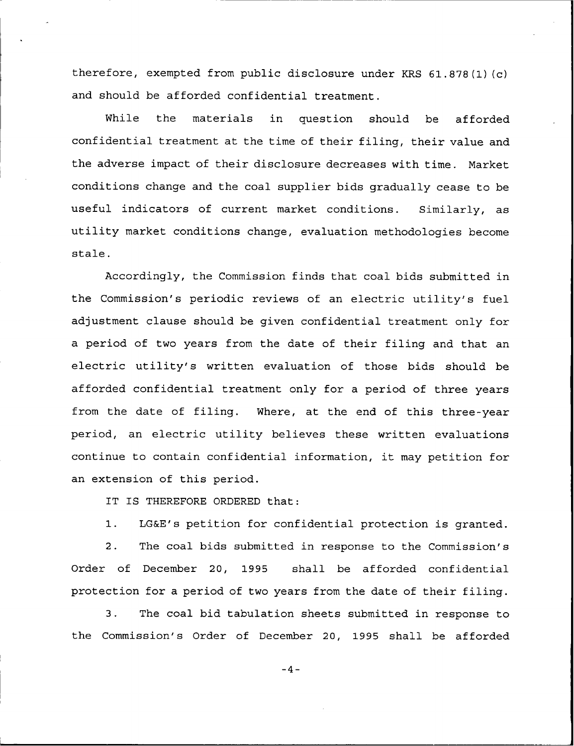therefore, exempted from public disclosure under KRS 61.878(1) (c) and should be afforded confidential treatment.

Nhile the materials in question should be afforded confidential treatment at the time of their filing, their value and the adverse impact of their disclosure decreases with time. Market conditions change and the coal supplier bids gradually cease to be useful indicators of current market conditions. Similarly, as utility market conditions change, evaluation methodologies become stale.

Accordingly, the Commission finds that coal bids submitted in the Commission's periodic reviews of an electric utility's fuel adjustment clause should be given confidential treatment only for a period of two years from the date of their filing and that an electric utility's written evaluation of those bids should be afforded confidential treatment only for a period of three years from the date of filing. Nhere, at the end of this three-year period, an electric utility believes these written evaluations continue to contain confidential information, it may petition for an extension of this period.

IT IS THEREFORE ORDERED that:

1. LG&E's petition for confidential protection is granted.

2. The coal bids submitted in response to the Commission's Order of December 20, 1995 shall be afforded confidential protection for a period of two years from the date of their filing.

3. The coal bid tabulation sheets submitted in response to the Commission's Order of December 20, 1995 shall be afforded

 $-4-$